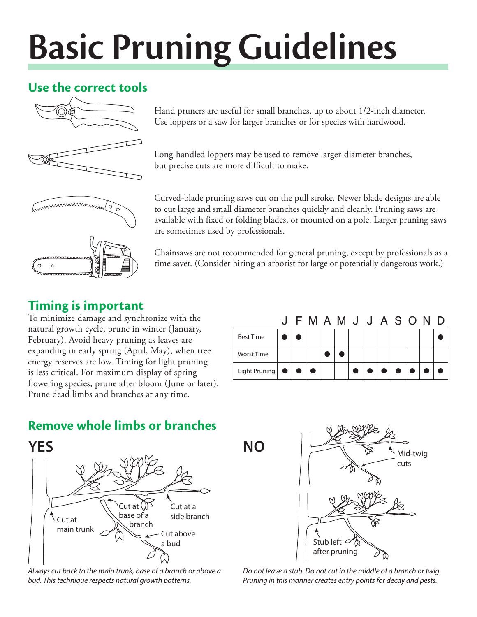# **Basic Pruning Guidelines**

# **Use the correct tools**



Hand pruners are useful for small branches, up to about 1/2-inch diameter. Use loppers or a saw for larger branches or for species with hardwood.

Long-handled loppers may be used to remove larger-diameter branches, but precise cuts are more difficult to make.

Curved-blade pruning saws cut on the pull stroke. Newer blade designs are able to cut large and small diameter branches quickly and cleanly. Pruning saws are available with fixed or folding blades, or mounted on a pole. Larger pruning saws are sometimes used by professionals.

Chainsaws are not recommended for general pruning, except by professionals as a time saver. (Consider hiring an arborist for large or potentially dangerous work.)

## **Timing is important**

To minimize damage and synchronize with the natural growth cycle, prune in winter (January, February). Avoid heavy pruning as leaves are expanding in early spring (April, May), when tree energy reserves are low. Timing for light pruning is less critical. For maximum display of spring flowering species, prune after bloom (June or later). Prune dead limbs and branches at any time.

|                                         |  |  | J F M A M J J A S O N D |  |  |                                                                                                                                                                               |  |
|-----------------------------------------|--|--|-------------------------|--|--|-------------------------------------------------------------------------------------------------------------------------------------------------------------------------------|--|
| <b>Best Time</b>                        |  |  |                         |  |  |                                                                                                                                                                               |  |
| <b>Worst Time</b>                       |  |  |                         |  |  |                                                                                                                                                                               |  |
| Light Pruning $\bullet \bullet \bullet$ |  |  |                         |  |  | $\begin{array}{c c c c c c c c} \hline \multicolumn{1}{c }{\bullet} & \multicolumn{1}{c }{\bullet} & \multicolumn{1}{c }{\bullet} & \multicolumn{1}{c }{\bullet} \end{array}$ |  |

# **Remove whole limbs or branches**



*Always cut back to the main trunk, base of a branch or above a bud. This technique respects natural growth patterns.*



after pruning *Do not leave a stub. Do not cut in the middle of a branch or twig. Pruning in this manner creates entry points for decay and pests.*